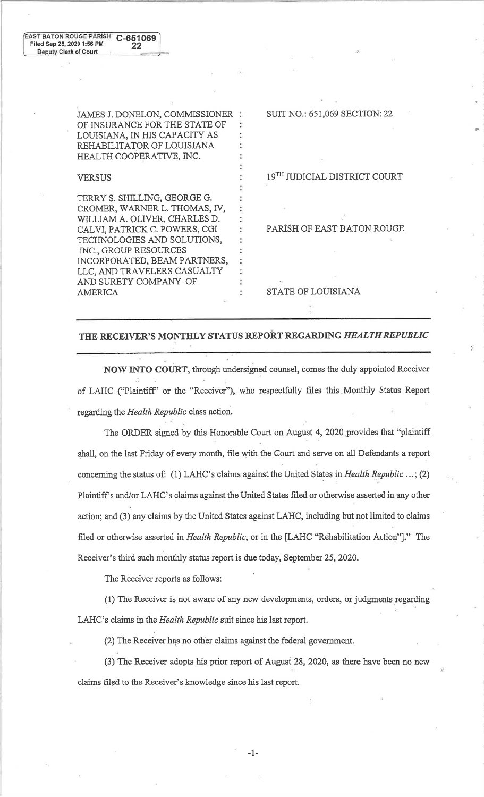JAMES J. DONELON, COMMISSIONER OF INSURANCE FOR THE STATE OF LOUISIANA, fN HIS CAPACITY AS REHABILITATOR OF LOUISIANA HEALTH COOPERATIVE, INC.

## VERSUS

TERRY S. SHILLING, GEORGE G. CROMER, WARNER L. THOMAS, IV, WILLIAM A. OLIVER, CHARLES D. CALVI, PATRICK C. POWERS, CGI TECHNOLOGIES AND SOLUTIONS, INC., GROUP RESOURCES INCORPORATED, BEAM PARTNERS, LLC, AND TRAVELERS CASUALTY AND SURETY COMPANY OF AMERICA

SUIT NO.: 651,069 SECTION: 22

t

19TH JUDICIAL DISTRICT COURT

PARISH OF EAST BATON ROUGE

STATE OF LOUISIANA

## THE RECEIVER'S MONTHLY STATUS REPORT REGARDING HEALTH REPUBLIC

NOW INTO COURT, through undersigned counsel, bomes the duly appointed Receiver .. of LAHC ('PlaintifP' or the "Receiver"), who respectfully files this.Monthly Status Report regarding the Health Republic class action.

The ORDER signed by this Honorable Court on August 4, 2020 provides that "plaintiff" shall, on the last Friday of every month, file with the Court and serve on all Defendants a report concerning the status of: (1) LAHC's claims against the United States in Health Republic ...; (2) Plaintiff's and/or LAHC's claims against the United States filed or otherwise asserted in any other action; and (3) any claims by the United States against LAHC, including but not limited to claims filed or otherwise asserted in *Health Republic*, or in the [LAHC "Rehabilitation Action"]." The Receiver's third such monthly status report is due today, September 25,2020.

The Receiver reports as follows:

(l) The Receiver is not aware of any new developments, orders, or judgments regarding LAHC's claims in the Health Republic suit since his last report.

(2) The Receiver has no other claims against the federal government.

(3) The Receiver adopts his prior report of Augusf 28,202A, as there have been no new claims filed to the Receiver's knowledge since his last report.

-1-